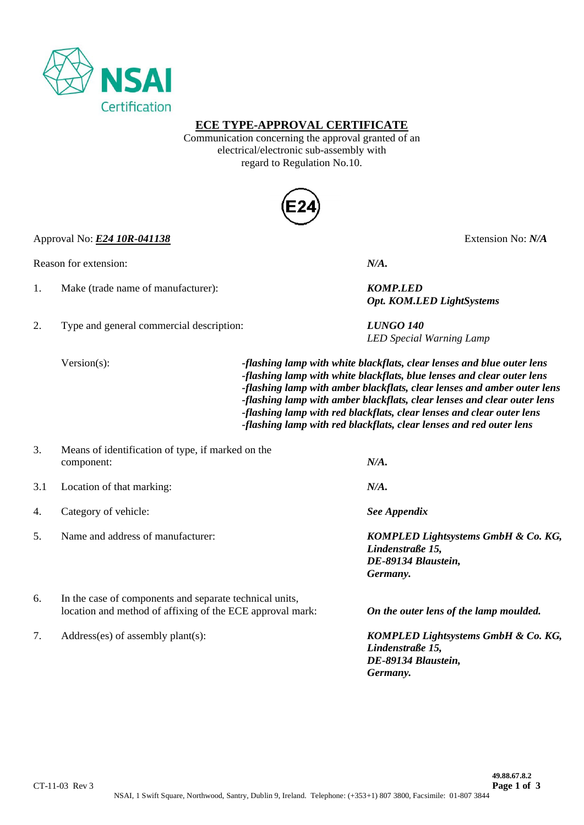

### **ECE TYPE-APPROVAL CERTIFICATE**

Communication concerning the approval granted of an electrical/electronic sub-assembly with regard to Regulation No.10.



Approval No: *E24 10R-041138* Extension No: *N/A*

Reason for extension: *N/A.*

- 1. Make (trade name of manufacturer): *KOMP.LED*
- 2. Type and general commercial description: *LUNGO 140*

 *Opt. KOM.LED LightSystems* 

*LED Special Warning Lamp* 

Version(s): *-flashing lamp with white blackflats, clear lenses and blue outer lens -flashing lamp with white blackflats, blue lenses and clear outer lens -flashing lamp with amber blackflats, clear lenses and amber outer lens -flashing lamp with amber blackflats, clear lenses and clear outer lens -flashing lamp with red blackflats, clear lenses and clear outer lens -flashing lamp with red blackflats, clear lenses and red outer lens* 

 *Germany.* 

| 3.  | Means of identification of type, if marked on the<br>component:                                                      | N/A.                                                                                       |
|-----|----------------------------------------------------------------------------------------------------------------------|--------------------------------------------------------------------------------------------|
| 3.1 | Location of that marking:                                                                                            | N/A.                                                                                       |
| 4.  | Category of vehicle:                                                                                                 | See Appendix                                                                               |
| .5. | Name and address of manufacturer:                                                                                    | KOMPLED Lightsystems GmbH & Co. KG,<br>Lindenstraße 15,<br>DE-89134 Blaustein,<br>Germany. |
| 6.  | In the case of components and separate technical units,<br>location and method of affixing of the ECE approval mark: | On the outer lens of the lamp moulded.                                                     |
| 7.  | $Address(es)$ of assembly plant(s):                                                                                  | KOMPLED Lightsystems GmbH & Co. KG,<br>Lindenstraße 15,                                    |

 *DE-89134 Blaustein,*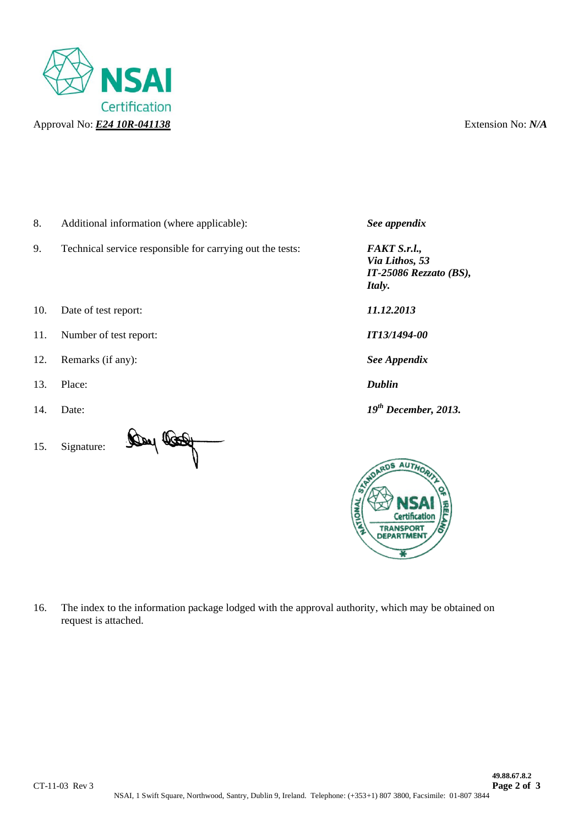

- 8. Additional information (where applicable): *See appendix*
- 9. Technical service responsible for carrying out the tests: *FAKT S.r.l.,*
- 10. Date of test report: *11.12.2013*
- 11. Number of test report: *IT13/1494-00*
- 12. Remarks (if any): *See Appendix*
- 13. Place: *Dublin*
- 
- 15. Signature:



 *Via Lithos, 53 IT-25086 Rezzato (BS), Italy.*

14. Date: *19th December, 2013.*



16. The index to the information package lodged with the approval authority, which may be obtained on request is attached.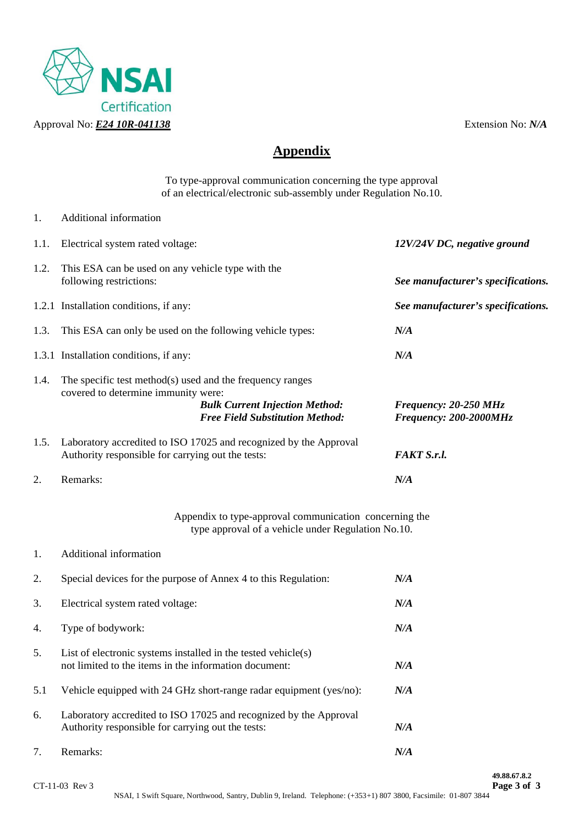

1. Additional information

# **Appendix**

To type-approval communication concerning the type approval of an electrical/electronic sub-assembly under Regulation No.10.

1.1. Electrical system rated voltage: *12V/24V DC, negative ground*  1.2. This ESA can be used on any vehicle type with the following restrictions: *See manufacturer's specifications.*  1.2.1 Installation conditions, if any: *See manufacturer's specifications.*  1.3. This ESA can only be used on the following vehicle types: *N/A* 1.3.1 Installation conditions, if any: *N/A*  1.4. The specific test method(s) used and the frequency ranges covered to determine immunity were:  *Bulk Current Injection Method: Frequency: 20-250 MHz Free Field Substitution Method: Frequency: 200-2000MHz*  1.5. Laboratory accredited to ISO 17025 and recognized by the Approval Authority responsible for carrying out the tests: *FAKT S.r.l.*  2. Remarks: *N/A*  Appendix to type-approval communication concerning the type approval of a vehicle under Regulation No.10. 1. Additional information 2. Special devices for the purpose of Annex 4 to this Regulation: *N/A*  3. Electrical system rated voltage: *N/A* 4. Type of bodywork: *N/A*  5. List of electronic systems installed in the tested vehicle(s) not limited to the items in the information document: *N/A*  5.1 Vehicle equipped with 24 GHz short-range radar equipment (yes/no): *N/A*  6. Laboratory accredited to ISO 17025 and recognized by the Approval Authority responsible for carrying out the tests: *N/A*  7. Remarks: *N/A*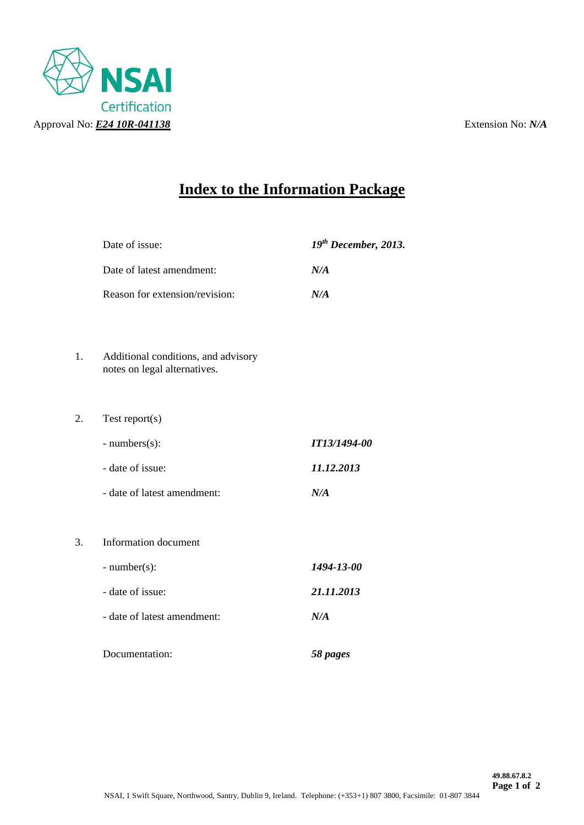

# **Index to the Information Package**

| Date of issue:                 | $19th$ December, 2013.                                |
|--------------------------------|-------------------------------------------------------|
| Date of latest amendment:      | N/A                                                   |
| Reason for extension/revision: | N/A                                                   |
|                                |                                                       |
|                                |                                                       |
| notes on legal alternatives.   |                                                       |
|                                |                                                       |
| Test report $(s)$              |                                                       |
| - numbers(s):                  | IT13/1494-00                                          |
| - date of issue:               | 11.12.2013                                            |
| - date of latest amendment:    | N/A                                                   |
|                                |                                                       |
| Information document           |                                                       |
| $-$ number(s):                 | 1494-13-00                                            |
| - date of issue:               | 21.11.2013                                            |
| - date of latest amendment:    | N/A                                                   |
|                                | 58 pages                                              |
|                                | Additional conditions, and advisory<br>Documentation: |